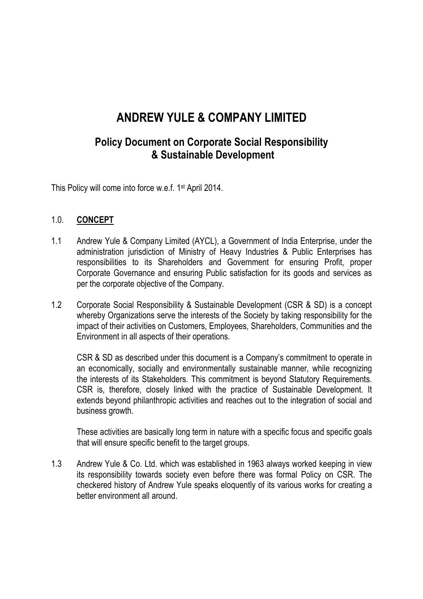# ANDREW YULE & COMPANY LIMITED

# Policy Document on Corporate Social Responsibility & Sustainable Development

This Policy will come into force w.e.f. 1st April 2014.

#### 1.0. CONCEPT

- 1.1 Andrew Yule & Company Limited (AYCL), a Government of India Enterprise, under the administration jurisdiction of Ministry of Heavy Industries & Public Enterprises has responsibilities to its Shareholders and Government for ensuring Profit, proper Corporate Governance and ensuring Public satisfaction for its goods and services as per the corporate objective of the Company.
- 1.2 Corporate Social Responsibility & Sustainable Development (CSR & SD) is a concept whereby Organizations serve the interests of the Society by taking responsibility for the impact of their activities on Customers, Employees, Shareholders, Communities and the Environment in all aspects of their operations.

CSR & SD as described under this document is a Company's commitment to operate in an economically, socially and environmentally sustainable manner, while recognizing the interests of its Stakeholders. This commitment is beyond Statutory Requirements. CSR is, therefore, closely linked with the practice of Sustainable Development. It extends beyond philanthropic activities and reaches out to the integration of social and business growth.

These activities are basically long term in nature with a specific focus and specific goals that will ensure specific benefit to the target groups.

1.3 Andrew Yule & Co. Ltd. which was established in 1963 always worked keeping in view its responsibility towards society even before there was formal Policy on CSR. The checkered history of Andrew Yule speaks eloquently of its various works for creating a better environment all around.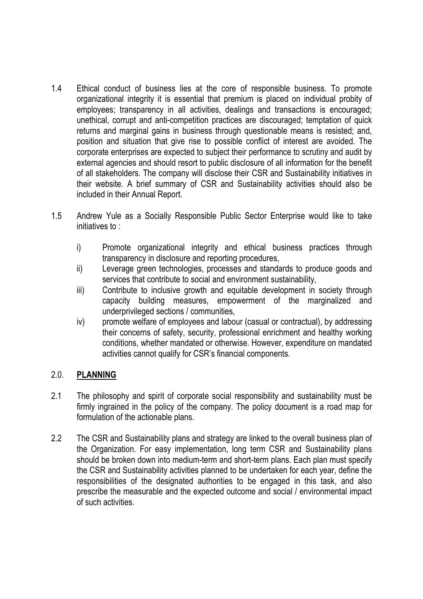- 1.4 Ethical conduct of business lies at the core of responsible business. To promote organizational integrity it is essential that premium is placed on individual probity of employees; transparency in all activities, dealings and transactions is encouraged; unethical, corrupt and anti-competition practices are discouraged; temptation of quick returns and marginal gains in business through questionable means is resisted; and, position and situation that give rise to possible conflict of interest are avoided. The corporate enterprises are expected to subject their performance to scrutiny and audit by external agencies and should resort to public disclosure of all information for the benefit of all stakeholders. The company will disclose their CSR and Sustainability initiatives in their website. A brief summary of CSR and Sustainability activities should also be included in their Annual Report.
- 1.5 Andrew Yule as a Socially Responsible Public Sector Enterprise would like to take initiatives to :
	- i) Promote organizational integrity and ethical business practices through transparency in disclosure and reporting procedures,
	- ii) Leverage green technologies, processes and standards to produce goods and services that contribute to social and environment sustainability,
	- iii) Contribute to inclusive growth and equitable development in society through capacity building measures, empowerment of the marginalized and underprivileged sections / communities,
	- iv) promote welfare of employees and labour (casual or contractual), by addressing their concerns of safety, security, professional enrichment and healthy working conditions, whether mandated or otherwise. However, expenditure on mandated activities cannot qualify for CSR's financial components.

# 2.0. PLANNING

- 2.1 The philosophy and spirit of corporate social responsibility and sustainability must be firmly ingrained in the policy of the company. The policy document is a road map for formulation of the actionable plans.
- 2.2 The CSR and Sustainability plans and strategy are linked to the overall business plan of the Organization. For easy implementation, long term CSR and Sustainability plans should be broken down into medium-term and short-term plans. Each plan must specify the CSR and Sustainability activities planned to be undertaken for each year, define the responsibilities of the designated authorities to be engaged in this task, and also prescribe the measurable and the expected outcome and social / environmental impact of such activities.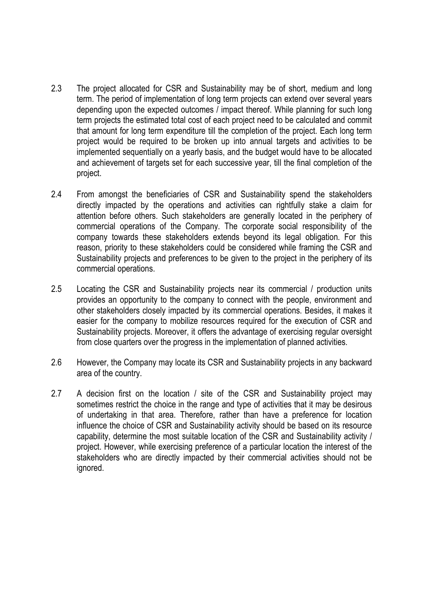- 2.3 The project allocated for CSR and Sustainability may be of short, medium and long term. The period of implementation of long term projects can extend over several years depending upon the expected outcomes / impact thereof. While planning for such long term projects the estimated total cost of each project need to be calculated and commit that amount for long term expenditure till the completion of the project. Each long term project would be required to be broken up into annual targets and activities to be implemented sequentially on a yearly basis, and the budget would have to be allocated and achievement of targets set for each successive year, till the final completion of the project.
- 2.4 From amongst the beneficiaries of CSR and Sustainability spend the stakeholders directly impacted by the operations and activities can rightfully stake a claim for attention before others. Such stakeholders are generally located in the periphery of commercial operations of the Company. The corporate social responsibility of the company towards these stakeholders extends beyond its legal obligation. For this reason, priority to these stakeholders could be considered while framing the CSR and Sustainability projects and preferences to be given to the project in the periphery of its commercial operations.
- 2.5 Locating the CSR and Sustainability projects near its commercial / production units provides an opportunity to the company to connect with the people, environment and other stakeholders closely impacted by its commercial operations. Besides, it makes it easier for the company to mobilize resources required for the execution of CSR and Sustainability projects. Moreover, it offers the advantage of exercising regular oversight from close quarters over the progress in the implementation of planned activities.
- 2.6 However, the Company may locate its CSR and Sustainability projects in any backward area of the country.
- 2.7 A decision first on the location / site of the CSR and Sustainability project may sometimes restrict the choice in the range and type of activities that it may be desirous of undertaking in that area. Therefore, rather than have a preference for location influence the choice of CSR and Sustainability activity should be based on its resource capability, determine the most suitable location of the CSR and Sustainability activity / project. However, while exercising preference of a particular location the interest of the stakeholders who are directly impacted by their commercial activities should not be ignored.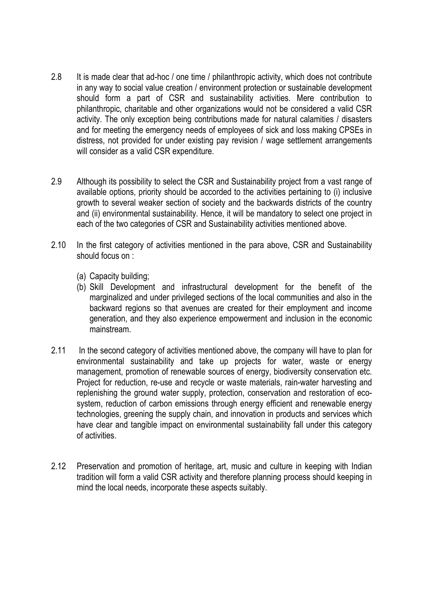- 2.8 It is made clear that ad-hoc / one time / philanthropic activity, which does not contribute in any way to social value creation / environment protection or sustainable development should form a part of CSR and sustainability activities. Mere contribution to philanthropic, charitable and other organizations would not be considered a valid CSR activity. The only exception being contributions made for natural calamities / disasters and for meeting the emergency needs of employees of sick and loss making CPSEs in distress, not provided for under existing pay revision / wage settlement arrangements will consider as a valid CSR expenditure.
- 2.9 Although its possibility to select the CSR and Sustainability project from a vast range of available options, priority should be accorded to the activities pertaining to (i) inclusive growth to several weaker section of society and the backwards districts of the country and (ii) environmental sustainability. Hence, it will be mandatory to select one project in each of the two categories of CSR and Sustainability activities mentioned above.
- 2.10 In the first category of activities mentioned in the para above, CSR and Sustainability should focus on :
	- (a) Capacity building;
	- (b) Skill Development and infrastructural development for the benefit of the marginalized and under privileged sections of the local communities and also in the backward regions so that avenues are created for their employment and income generation, and they also experience empowerment and inclusion in the economic mainstream.
- 2.11 In the second category of activities mentioned above, the company will have to plan for environmental sustainability and take up projects for water, waste or energy management, promotion of renewable sources of energy, biodiversity conservation etc. Project for reduction, re-use and recycle or waste materials, rain-water harvesting and replenishing the ground water supply, protection, conservation and restoration of ecosystem, reduction of carbon emissions through energy efficient and renewable energy technologies, greening the supply chain, and innovation in products and services which have clear and tangible impact on environmental sustainability fall under this category of activities.
- 2.12 Preservation and promotion of heritage, art, music and culture in keeping with Indian tradition will form a valid CSR activity and therefore planning process should keeping in mind the local needs, incorporate these aspects suitably.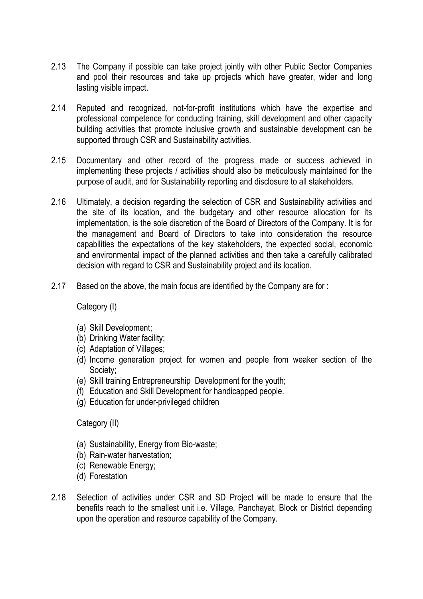- 2.13 The Company if possible can take project jointly with other Public Sector Companies and pool their resources and take up projects which have greater, wider and long lasting visible impact.
- 2.14 Reputed and recognized, not-for-profit institutions which have the expertise and professional competence for conducting training, skill development and other capacity building activities that promote inclusive growth and sustainable development can be supported through CSR and Sustainability activities.
- 2.15 Documentary and other record of the progress made or success achieved in implementing these projects / activities should also be meticulously maintained for the purpose of audit, and for Sustainability reporting and disclosure to all stakeholders.
- 2.16 Ultimately, a decision regarding the selection of CSR and Sustainability activities and the site of its location, and the budgetary and other resource allocation for its implementation, is the sole discretion of the Board of Directors of the Company. It is for the management and Board of Directors to take into consideration the resource capabilities the expectations of the key stakeholders, the expected social, economic and environmental impact of the planned activities and then take a carefully calibrated decision with regard to CSR and Sustainability project and its location.
- 2.17 Based on the above, the main focus are identified by the Company are for :

Category (I)

- (a) Skill Development;
- (b) Drinking Water facility;
- (c) Adaptation of Villages;
- (d) Income generation project for women and people from weaker section of the Society;
- (e) Skill training Entrepreneurship Development for the youth;
- (f) Education and Skill Development for handicapped people.
- (g) Education for under-privileged children

Category (II)

- (a) Sustainability, Energy from Bio-waste;
- (b) Rain-water harvestation;
- (c) Renewable Energy;
- (d) Forestation
- 2.18 Selection of activities under CSR and SD Project will be made to ensure that the benefits reach to the smallest unit i.e. Village, Panchayat, Block or District depending upon the operation and resource capability of the Company.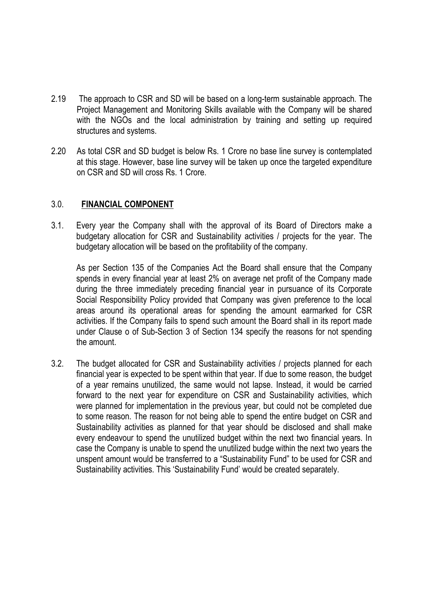- 2.19 The approach to CSR and SD will be based on a long-term sustainable approach. The Project Management and Monitoring Skills available with the Company will be shared with the NGOs and the local administration by training and setting up required structures and systems.
- 2.20 As total CSR and SD budget is below Rs. 1 Crore no base line survey is contemplated at this stage. However, base line survey will be taken up once the targeted expenditure on CSR and SD will cross Rs. 1 Crore.

#### 3.0. FINANCIAL COMPONENT

3.1. Every year the Company shall with the approval of its Board of Directors make a budgetary allocation for CSR and Sustainability activities / projects for the year. The budgetary allocation will be based on the profitability of the company.

As per Section 135 of the Companies Act the Board shall ensure that the Company spends in every financial year at least 2% on average net profit of the Company made during the three immediately preceding financial year in pursuance of its Corporate Social Responsibility Policy provided that Company was given preference to the local areas around its operational areas for spending the amount earmarked for CSR activities. If the Company fails to spend such amount the Board shall in its report made under Clause o of Sub-Section 3 of Section 134 specify the reasons for not spending the amount.

3.2. The budget allocated for CSR and Sustainability activities / projects planned for each financial year is expected to be spent within that year. If due to some reason, the budget of a year remains unutilized, the same would not lapse. Instead, it would be carried forward to the next year for expenditure on CSR and Sustainability activities, which were planned for implementation in the previous year, but could not be completed due to some reason. The reason for not being able to spend the entire budget on CSR and Sustainability activities as planned for that year should be disclosed and shall make every endeavour to spend the unutilized budget within the next two financial years. In case the Company is unable to spend the unutilized budge within the next two years the unspent amount would be transferred to a "Sustainability Fund" to be used for CSR and Sustainability activities. This 'Sustainability Fund' would be created separately.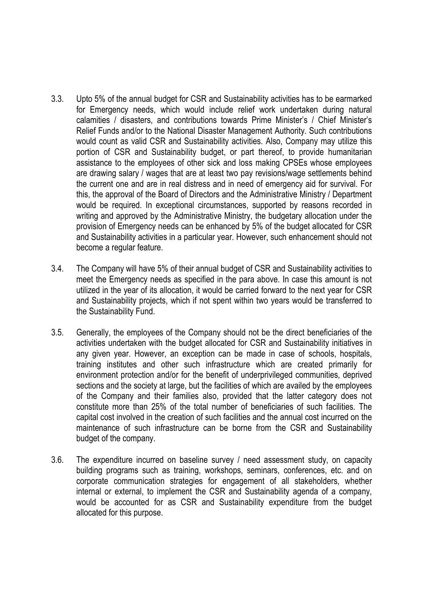- 3.3. Upto 5% of the annual budget for CSR and Sustainability activities has to be earmarked for Emergency needs, which would include relief work undertaken during natural calamities / disasters, and contributions towards Prime Minister's / Chief Minister's Relief Funds and/or to the National Disaster Management Authority. Such contributions would count as valid CSR and Sustainability activities. Also, Company may utilize this portion of CSR and Sustainability budget, or part thereof, to provide humanitarian assistance to the employees of other sick and loss making CPSEs whose employees are drawing salary / wages that are at least two pay revisions/wage settlements behind the current one and are in real distress and in need of emergency aid for survival. For this, the approval of the Board of Directors and the Administrative Ministry / Department would be required. In exceptional circumstances, supported by reasons recorded in writing and approved by the Administrative Ministry, the budgetary allocation under the provision of Emergency needs can be enhanced by 5% of the budget allocated for CSR and Sustainability activities in a particular year. However, such enhancement should not become a regular feature.
- 3.4. The Company will have 5% of their annual budget of CSR and Sustainability activities to meet the Emergency needs as specified in the para above. In case this amount is not utilized in the year of its allocation, it would be carried forward to the next year for CSR and Sustainability projects, which if not spent within two years would be transferred to the Sustainability Fund.
- 3.5. Generally, the employees of the Company should not be the direct beneficiaries of the activities undertaken with the budget allocated for CSR and Sustainability initiatives in any given year. However, an exception can be made in case of schools, hospitals, training institutes and other such infrastructure which are created primarily for environment protection and/or for the benefit of underprivileged communities, deprived sections and the society at large, but the facilities of which are availed by the employees of the Company and their families also, provided that the latter category does not constitute more than 25% of the total number of beneficiaries of such facilities. The capital cost involved in the creation of such facilities and the annual cost incurred on the maintenance of such infrastructure can be borne from the CSR and Sustainability budget of the company.
- 3.6. The expenditure incurred on baseline survey / need assessment study, on capacity building programs such as training, workshops, seminars, conferences, etc. and on corporate communication strategies for engagement of all stakeholders, whether internal or external, to implement the CSR and Sustainability agenda of a company, would be accounted for as CSR and Sustainability expenditure from the budget allocated for this purpose.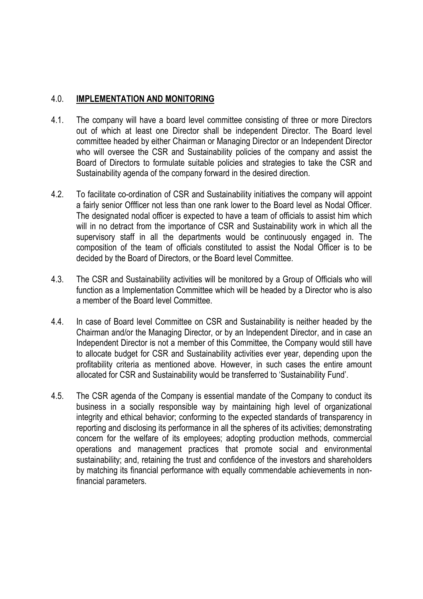### 4.0. IMPLEMENTATION AND MONITORING

- 4.1. The company will have a board level committee consisting of three or more Directors out of which at least one Director shall be independent Director. The Board level committee headed by either Chairman or Managing Director or an Independent Director who will oversee the CSR and Sustainability policies of the company and assist the Board of Directors to formulate suitable policies and strategies to take the CSR and Sustainability agenda of the company forward in the desired direction.
- 4.2. To facilitate co-ordination of CSR and Sustainability initiatives the company will appoint a fairly senior Offficer not less than one rank lower to the Board level as Nodal Officer. The designated nodal officer is expected to have a team of officials to assist him which will in no detract from the importance of CSR and Sustainability work in which all the supervisory staff in all the departments would be continuously engaged in. The composition of the team of officials constituted to assist the Nodal Officer is to be decided by the Board of Directors, or the Board level Committee.
- 4.3. The CSR and Sustainability activities will be monitored by a Group of Officials who will function as a Implementation Committee which will be headed by a Director who is also a member of the Board level Committee.
- 4.4. In case of Board level Committee on CSR and Sustainability is neither headed by the Chairman and/or the Managing Director, or by an Independent Director, and in case an Independent Director is not a member of this Committee, the Company would still have to allocate budget for CSR and Sustainability activities ever year, depending upon the profitability criteria as mentioned above. However, in such cases the entire amount allocated for CSR and Sustainability would be transferred to 'Sustainability Fund'.
- 4.5. The CSR agenda of the Company is essential mandate of the Company to conduct its business in a socially responsible way by maintaining high level of organizational integrity and ethical behavior; conforming to the expected standards of transparency in reporting and disclosing its performance in all the spheres of its activities; demonstrating concern for the welfare of its employees; adopting production methods, commercial operations and management practices that promote social and environmental sustainability; and, retaining the trust and confidence of the investors and shareholders by matching its financial performance with equally commendable achievements in nonfinancial parameters.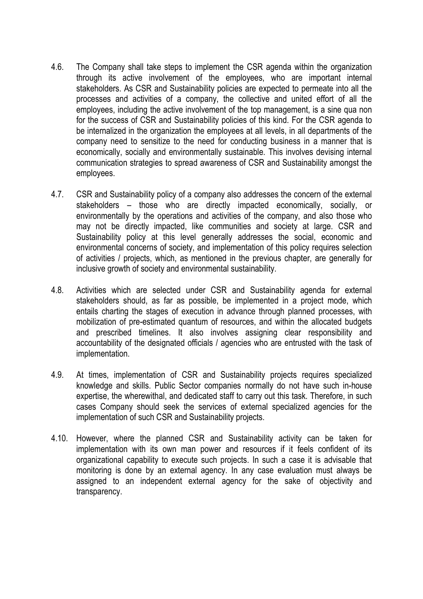- 4.6. The Company shall take steps to implement the CSR agenda within the organization through its active involvement of the employees, who are important internal stakeholders. As CSR and Sustainability policies are expected to permeate into all the processes and activities of a company, the collective and united effort of all the employees, including the active involvement of the top management, is a sine qua non for the success of CSR and Sustainability policies of this kind. For the CSR agenda to be internalized in the organization the employees at all levels, in all departments of the company need to sensitize to the need for conducting business in a manner that is economically, socially and environmentally sustainable. This involves devising internal communication strategies to spread awareness of CSR and Sustainability amongst the employees.
- 4.7. CSR and Sustainability policy of a company also addresses the concern of the external stakeholders – those who are directly impacted economically, socially, or environmentally by the operations and activities of the company, and also those who may not be directly impacted, like communities and society at large. CSR and Sustainability policy at this level generally addresses the social, economic and environmental concerns of society, and implementation of this policy requires selection of activities / projects, which, as mentioned in the previous chapter, are generally for inclusive growth of society and environmental sustainability.
- 4.8. Activities which are selected under CSR and Sustainability agenda for external stakeholders should, as far as possible, be implemented in a project mode, which entails charting the stages of execution in advance through planned processes, with mobilization of pre-estimated quantum of resources, and within the allocated budgets and prescribed timelines. It also involves assigning clear responsibility and accountability of the designated officials / agencies who are entrusted with the task of implementation.
- 4.9. At times, implementation of CSR and Sustainability projects requires specialized knowledge and skills. Public Sector companies normally do not have such in-house expertise, the wherewithal, and dedicated staff to carry out this task. Therefore, in such cases Company should seek the services of external specialized agencies for the implementation of such CSR and Sustainability projects.
- 4.10. However, where the planned CSR and Sustainability activity can be taken for implementation with its own man power and resources if it feels confident of its organizational capability to execute such projects. In such a case it is advisable that monitoring is done by an external agency. In any case evaluation must always be assigned to an independent external agency for the sake of objectivity and transparency.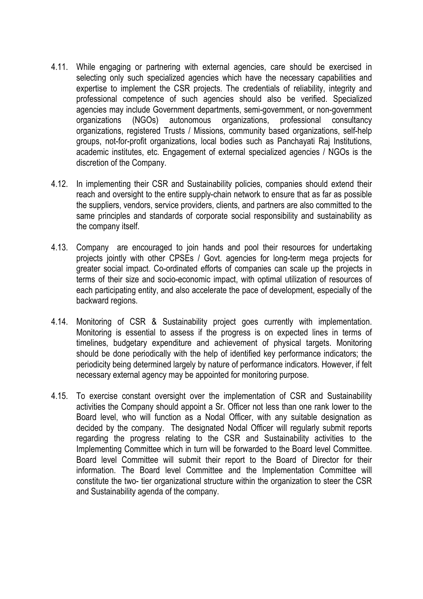- 4.11. While engaging or partnering with external agencies, care should be exercised in selecting only such specialized agencies which have the necessary capabilities and expertise to implement the CSR projects. The credentials of reliability, integrity and professional competence of such agencies should also be verified. Specialized agencies may include Government departments, semi-government, or non-government organizations (NGOs) autonomous organizations, professional consultancy organizations, registered Trusts / Missions, community based organizations, self-help groups, not-for-profit organizations, local bodies such as Panchayati Raj Institutions, academic institutes, etc. Engagement of external specialized agencies / NGOs is the discretion of the Company.
- 4.12. In implementing their CSR and Sustainability policies, companies should extend their reach and oversight to the entire supply-chain network to ensure that as far as possible the suppliers, vendors, service providers, clients, and partners are also committed to the same principles and standards of corporate social responsibility and sustainability as the company itself.
- 4.13. Company are encouraged to join hands and pool their resources for undertaking projects jointly with other CPSEs / Govt. agencies for long-term mega projects for greater social impact. Co-ordinated efforts of companies can scale up the projects in terms of their size and socio-economic impact, with optimal utilization of resources of each participating entity, and also accelerate the pace of development, especially of the backward regions.
- 4.14. Monitoring of CSR & Sustainability project goes currently with implementation. Monitoring is essential to assess if the progress is on expected lines in terms of timelines, budgetary expenditure and achievement of physical targets. Monitoring should be done periodically with the help of identified key performance indicators; the periodicity being determined largely by nature of performance indicators. However, if felt necessary external agency may be appointed for monitoring purpose.
- 4.15. To exercise constant oversight over the implementation of CSR and Sustainability activities the Company should appoint a Sr. Officer not less than one rank lower to the Board level, who will function as a Nodal Officer, with any suitable designation as decided by the company. The designated Nodal Officer will regularly submit reports regarding the progress relating to the CSR and Sustainability activities to the Implementing Committee which in turn will be forwarded to the Board level Committee. Board level Committee will submit their report to the Board of Director for their information. The Board level Committee and the Implementation Committee will constitute the two- tier organizational structure within the organization to steer the CSR and Sustainability agenda of the company.